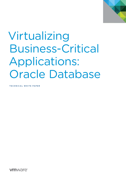

# Virtualizing Business-Critical Applications: Oracle Database

**TECHNICAL WHITE PAPER** 

*m*ware<sup>®</sup>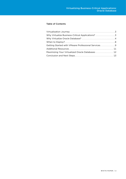# Table of Contents

| Why Virtualize Business-Critical Applications? 3   |
|----------------------------------------------------|
|                                                    |
|                                                    |
| Getting Started with VMware Professional Services9 |
|                                                    |
| Maximizing Your Virtualized Oracle Databases  12   |
|                                                    |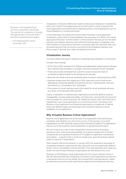*"Business-critical applications provide competitive advantage. The real risk for companies is missing the opportunity to innovate with IT and drive toward business agility."*

— CIO Magazine/IDG report, December 2011

Virtualization continues to define the modern architecture of enterprise IT, establishing both a new model for how applications are run and a path to cloud computing. Still, some organizations are hesitant about migrating business-critical applications such as Oracle Database to a virtual environment.

In this white paper we examine the current state of business-critical application virtualization, particularly of Oracle Database: How pervasive is it? What is the market saying about the pace—and the wisdom—of this evolution? We discuss how the latest software and hardware advances have shifted the thinking about virtualization, and offer examples of organizations that have successfully taken this important step. Last, we present partners that can ensure a successful Oracle Database migration, and discuss ways to optimize your newly virtualized environment.

# Virtualization Journey

You know it better than anyone: software is increasingly being operated in a virtual world. Consider these findings:

• At the close of 2011, estimates from VMware and independent market analysis indicated that customers had virtualized, on average, more than 40 percent of their workloads.

- These same studies estimated that customers would increase the share of workloads by approximately 10 percentage points annually.
- • More than two-thirds of all server workloads will be running on virtual machines by 2014.
- Separate studies show that, beginning in 2010, there were more virtual servers deployed by enterprises globally than physical servers—indicating that customers had shifted to a "virtualization first" philosophy.
- The number of virtual machines used in the market for server workloads will grow by a factor of five between 2010 and 2015.

Clearly, virtualization is enabling many organizations around the globe to improve manageability, increase speed and agility, and shed costs—and all while serving as the clear foundation for cloud computing. Yet, despite this seismic shift, some have yet to migrate their most critical applications to a virtual environment. The reasons vary. Business-critical applications are frequently governed by a complex set of internal teams with different goals, and these teams are sometimes hesitant to risk the availability of core applications.

# Why Virtualize Business-Critical Applications?

Business-critical applications are at the heart of an organization; their performance, availability and reliability are vital to the success of the business. As a result, organizations are often especially cautious about changing the platform for applications that are core to the business's revenue generation or operational performance.

Yet, the IT status quo, with its silos of application environments and spiraling operations costs, is becoming unsustainable. According to research firm Forrester, companies are now spending 70 percent of IT budgets on application maintenance and updates — a situation that is certain to change soon, given the premium placed today on reducing IT expenditures.

Other research reflects this dynamic. In January 2012, IDC predicted a new phase of virtualization adoption, beginning this year, along with new and significantly different drivers—server consolidation chief among them. This trend represents the market as a whole; the most forward-thinking of organizations are well ahead of this curve.

Moreover, an IDG Research study published by the CIO Custom Solutions Group in late 2011 demonstrated that virtualization of business-critical applications has become a mainstream trend across the market. IDG surveyed 300 corporate decision makers at enterprises around the world, exploring the experiences of enterprises that have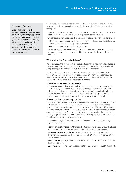#### Full Support from Oracle

Oracle fully supports the virtualization of Oracle databases on VMware, including support for Oracle Real Application Clusters (RAC). To augment this support, VMware has a total ownership policy for customers with Oracle issues and will be accountable or any Oracle-related issue reported by our customers.

virtualized business-critical applications—packaged and custom—and determining which benefits these companies have realized as a result. IDG's findings included these points:

- There is overwhelming support among business and IT leaders for taking businesscritical applications to the next level, in preparation for the cloud era.
- Enterprises that have virtualized their critical applications are getting excellent results:
	- 60 percent reported improved quality of service—including increased efficiency, improved business continuity and less downtime.
	- 60 percent reported reduced total cost of ownership.
- 78 percent agreed that when critical applications were virtualized, their IT teams became more agile; 75 percent agreed that their overall business has become more agile.

### Why Virtualize Oracle Database?

We've discussed the current thinking about virtualizing business-critical applications in general. Let's turn now to the central question: Why virtualize Oracle Database? And perhaps just as important: Why now? Have the facts changed?

In a word: yes. First, we'll examine how the evolution of hardware and VMware vSphere® 5.0 has rewritten the virtualization equation. Then we'll present the key reasons to virtualize Oracle Database, accompanied by real-world success stories about how and why other organizations have done so.

#### Latest Hardware Exceeds Requirements

Significant advances in hardware—such as dual- and quad-core processors, higher memory density, and advances in storage technology—are far outpacing the performance requirements of even the most intensive business-critical applications, including Oracle Database. This is especially true when those applications are virtualized and hardware resources are being utilized at an optimal level.

#### Performance Increase with vSphere 5.0

VMware has kept pace with these hardware improvements by engineering significant performance advances in vSphere. vSphere 5.0 provides two to four times the performance of the previous-generation platform, with 32 vCPUs and 1TB of memory per virtual machine and more than 1,000,000 disk IOPS, while keeping virtualization overhead to a minimum. With these performance improvements, vSphere is able to run very large, resource-intensive databases and, in many cases, enable applications to scale better on newer multicore servers.

Specifically, deploying Oracle databases on vSphere 5.0 provides the following performance benefits:

- Near-native performance With minimal virtualization overhead, Oracle databases run at performance and service levels similar to those of a physical system.
- **Extreme database I/O scalability** The VMware ESX® thin hypervisor layer can drive more than 60,000 database I/Os per second—50 times the requirement of a typical database.
- Multicore scaling Organizations can scale up using virtual machines and multiple database instances.
- Large memory Memory can be scaled up to 64GB per database, 255GB per host.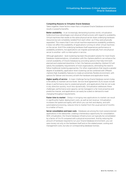#### Compelling Reasons to Virtualize Oracle Database

Taken together, these factors mean that a virtualized Oracle Database environment results in powerful benefits.

**Better availability** - In an increasingly demanding business world, virtualization holds enormous advantages over physical infrastructures with regard to availability. Virtual machines that reside on the same physical server share underlying hardware resources but are completely isolated from each other—as if they were physically separated. This means that if one virtual machine experiences availability problems, it does not affect the availability of applications running on other virtual machines on the server. And if the underlying hardware itself experiences performance or availability problems, live applications can migrate automatically from one physical server to another—with no interruption in service.

Although application - level clustering has been the prevalent solution for most Oracle Database implementations, virtualization with the vSphere platform can enhance the overall availability of Oracle Database by providing options that help limit both planned and unplanned downtime. In fact, the features provided by vSphere 5.0 will satisfy the availability requirements of most organizations, eliminating the need to follow traditional clustering approaches. For other organizations that require a greater degree of availability, application-level clustering can be combined with VMware vSphere High Availability features to create an extremely flexible environment, with options for failover and recovery at both the hardware and application levels.

Higher quality of service - A major challenge facing Oracle Database owners today is the ability to maintain service levels. Service-level agreement (SLA) issues include drops in performance due to unplanned growth, and applications that do not scale in any direction quickly, much less dynamically. Virtualization addresses these challenges: performance and capacity can be managed in a far more proactive and predictive manner, and applications can easily be scaled on demand to meet changing throughput requirements.

Faster time to market - Delays in bringing new applications to market can result in significantly higher deployment costs, as well as lost revenue. Virtualization increases the speed and agility with which you can test and deploy, and with automated provisioning, reduces time to market from the usual period of months to a matter of hours.

Server consolidation and lower costs - Databases are among the most overprovisioned applications in the datacenter, creating a tremendous opportunity for consolidation. With virtualization, the Oracle Database infrastructure can typically be consolidated by a factor of 5 to 10 compared with a physical environment. And by reducing the amount of hardware required to run your Oracle Database environment, you can save money not only on the hardware itself and on the related power, cooling and management costs, but also on corresponding database licenses.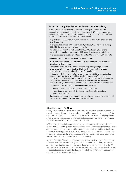#### Forrester Study Highlights the Benefits of Virtualizing

In 2011, VMware commissioned Forrester Consulting<sup>1</sup> to examine the total economic impact and potential return on investment (ROI) that enterprises can realize by virtualizing mission-critical Oracle databases on the vSphere platform. Forrester interviewed four VMware customers, including

- • A global Fortune 500 manufacturing firm with more than 8,000 end users and two datacenters
- A large medical and scientific testing facility with 28,000 employees, serving 220,000 clients and a range of operating units
- An educational institution with more than 100,000 students, faculty and administrative employees, along with 200 research centers and institutions
- A large educational institution outside the United States with 54,000 students

#### The interviews uncovered the following relevant points:

- • Most customers interviewed stated that they virtualized their Oracle databases to reduce hardware failure.
- Customers virtualized their Oracle databases only after gaining significant experience with and achieving benefits from the virtualization of other applications on vSphere—primarily back-office applications.
- A director of IT at one of the interviewed companies said his organization had begun virtualizing its mission-critical Oracle databases on vSphere a few years ago. While the organization has increased the total number of Oracle databases by virtualizing hardware, it has seen a reduction in the time that database administrators (DBAs) spend on support by 50 percent. Other benefits included
	- Freeing up DBAs to work on higher-value-add activities
	- • Speeding time to market with new services and features
	- • Improving end-user productivity through less-frequent planned and unplanned downtime
- • Customers interviewed said they achieved virtualization ratios of 7:1 to 15:1 virtual machines per physical host with their Oracle databases.

#### Critical Advantages for DBAs

Clearly, virtualization of Oracle databases offers the powerful benefits of increased organizational agility, productivity and cost control for top executives such as CIOs, CFOs and CEOs. But what about database administrators (DBAs)—the people who actually work with these business-critical databases every day, and who shoulder the direct responsibility for their peak performance?

DBAs are constantly challenged to provide 24/7 database services to application owners with the flexibility and autonomy they expect, while keeping the infrastructure as simple and economical as possible. A common issue is that traditional databases running on fixed physical hardware are often oversized, underutilized and protected by complex, expensive clustering solutions, and they require rigorous processes for version control and continued application compatibility.

A critical factor for DBAs is that VMware virtualization creates a layer of abstraction between the resources required by an application and the operating system (OS), and the underlying hardware that provides those resources. By decoupling the OS and the Oracle Database applications from the hardware, vSphere enables virtualized databases to react dynamically to changes in underlying system resources such as CPU, memory, storage and network.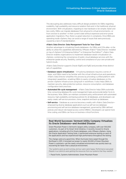This decoupling also addresses many difficult design problems for DBAs regarding scalability, high availability and resource isolation that exist in the traditional, physical environment. With virtualization, migrating to new hardware is far simpler, faster and less costly. DBAs can migrate databases from physical to virtual environments—or from one box to another—in their current state without expensive and error-prone application migrations. Plus, there is a great reduction in complexity. Once DBAs are operating inside vSphere, they can avoid a range of issues that were previously caused by a lack of standardization.

#### vFabric Data Director: Data Management Tools for Your Cloud

Another advantage to virtualizing Oracle databases—for DBAs and CIOs alike—is the ability to utilize the capabilities delivered by VMware vFabric™ Data Director. Installed on top of vSphere 5.0 Enterprise Edition™ or Enterprise Plus Edition™, vFabric Data Director enables organizations to implement database-aware virtualization on vSphere, combining the convenience of public cloud database services with the enterprise-grade security, flexibility, control and compliance of your own private and hybrid clouds.

vFabric Data Director supports Oracle 10gR2 and 11gR2 and provides three distinct sets of capabilities:

- Database-aware virtualization Virtualizing databases requires a series of steps, and DBAs need to be familiar with the virtual infrastructure and operations. vFabric Data Director simplifies this process by providing a unified platform with integrated capabilities—enabling DBAs to easily virtualize databases on the proven vSphere infrastructure using built-in workflows. It also helps DBAs to maintain security, data protection polices, resource consumption, and database configuration best practices.
- Automated life-cycle management vFabric Data Director helps DBAs automate time-consuming database life-cycle management tasks and provide better SLAs to the business. Now, DBAs can maintain consistent policy enforcement with automated resource, high availability and backup policies for all databases, and developers can easily create, self-service-provision, clone, snapshot and back up databases.
- Self-service Database as a service becomes a reality with vFabric Data Directorempowering diverse database applications such as self-service database provisioning and self-service database management, governed by DBA-defined policies and robust role-based access control (RBAC). Developers can spend more time coding, and DBAs can focus on business-critical functions.

# Real-World Successes: Vermont Utility Company Virtualizes Its Oracle Databases—and Avoided Disaster

Green Mountain Power is Vermont's largest utility company, with over 100,000 customers. As part of its Smart Grid Initiative, it recently moved its Oracle applications, including all of its Oracle databases, onto VMware vSphere. Using the Oracle Application Testing Suite, it performed extensive testing on each of the applications and has experienced high performance throughout the testing.

The change came at a good time. When Hurricane Irene swept through the Northeast in 2011, it knocked out power to nearly 50,000 of Green Mountain Power's customers—yet the newly virtualized environment was quickly back up, recovering far faster than a physical environment.

*"Our systems were up and running, and our users were happy. Performance was great. People in our districts were getting the resources from our systems that they needed."*

— Paula Fortin, Systems Administrator, Green Mountain Power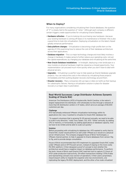# When to Deploy?

For many organizations considering virtualizing their Oracle databases, the question of "if" is closely tied to the question of "when." Although each company is different, certain triggers create opportunities for virtualizing Oracle Database:

- Hardware refreshes If you're looking into purchasing new hardware—because your existing hardware is coming off lease or its maintenance is finished—this is also a good time to look into virtualization. Deploying virtualization on the latest chipset greatly enhances performance.
- Data platform changes Virtualization is becoming a high-profile item on the agenda of CIOs examining how to reduce the cost of their database architecture across their applications.
- Database migration This is a major technology change and most likely involves a change in hardware. It makes sense to further reduce your operating costs, not just the capital expenditures, by changing your database and virtualizing at the same time.
- New Oracle Database installations In hindsight, deploying a new landscape or a new module on physical hardware might be viewed as a missed opportunity. Your implementation can proceed much more quickly when you don't have to deal with physical servers.
- Upgrades Virtualizing is a perfect way to help speed up Oracle Database upgrade projects. You can reduce the costs in the rollouts by virtualizing those projects immediately and then putting disaster-recovery technology around them.
- Disaster recovery Many companies still use tape or disks (or both) as their backup for catastrophic failures. Having a virtualization solution in place for disaster recovery is a major step in automation.

# Real-World Successes: Large Distributor Achieves Dynamic Scaling of Oracle RAC

American Tire Distributors (ATD) of Huntersville, North Carolina, is the nation's largest replacement tire distributor. ATD wholesales its tires through a network of more than 85 distribution centers in 37 states, which serve an average of 80,000 customers per day.

#### **Challenge**

ATD had already embraced VMware virtualization technology within its applications tier; now, it wanted to virtualize its Oracle RAC database tier.

"To support a business that is growing 10–20 percent annually, we need to be able to scale in any direction," notes Tony Vaden, CIO, ATD. "Either vertically, by adding CPU or memory, or horizontally, by adding applications or database capacity. And we have to be nimble and be able to scale out quickly."

#### Solution

Before proceeding with virtualizing its database tier, ATD wanted to verify that its Oracle RAC cluster would perform as well under VMware as it would on a physical server infrastructure. The company engaged House of Brick Technologies, a VMware channel partner, to help it upgrade its Oracle databases from version 10g to 11g, and to provide design consultation.

House of Brick recommended that ATD implement its upgraded Oracle RAC nodes under VMware and on HP ProLiant servers, instead of staying on the more costly PA-RISC platform. It then designed a proof of concept to test whether this architecture would have a negative impact on database performance. To perform the tests, House of Brick used Oracle's RAC load-test tool to capture 3.5 hours of ATD's peak production load activity: 29 million transactions totaling 1.5TB of data and representing a broad cross-section of operations. It then used a proprietary import/export utility to migrate the snapshot onto two environments, one replicating the legacy PA-RISC deployment, and the other a five-node virtualized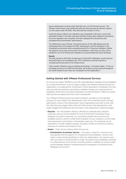server deployment running under Red Hat Linux on HP ProLiant servers. The VMware environment was configured with the same amount of memory used to run the nodes under PA-RISC—but with half the number of CPUs.

Using the House of Brick tool, migration was completed in 36 hours—versus the estimated 12 days if the team had used standard Oracle data-migration procedures. Once the migration was complete, the team replayed the transactions and compared the environments' performance.

The differences were striking. The performance of the x86 deployment far outstripped that of the legacy PA-RISC deployment, and the hardware in the virtualized environment never exceeded around 10 or 12 percent utilization. Within the physical server test environment, the hardware—with twice as many CPUs needed to run at 70–100 percent utilization to accommodate the same workload.

#### Results

The test proved to ATD that virtualizing its Oracle RAC databases would improve the performance of its database tier. ATD is therefore moving forward on virtualizing this last piece of its infrastructure.

"We consider VMware to be an enabling technology," concludes Vaden. "From our Exchange servers to our ERP environment, we've seen success stories throughout our entire footprint ever since we virtualized our first application."

# Getting Started with VMware Professional Services

So, how do you begin? Whether you're still undecided about migrating Oracle Database to a virtual environment, or you're ready to deploy, the VMware Professional Services organization is an ideal partner. Its Business-Critical Application Virtualization Services team provides the expertise and solutions needed to design your requirements for availability, performance and other parameters into the framework—before you build reducing risk and deployment time, and increasing ROI.

Your VMware Professional Services team of experts can take you through best practices for each stage of the development cycle, from initial discussions through optimization, shown in the following list. Some organizations will want to start with the initial discovery stage; others that are further along in the development cycle might engage the Professional Services team in the assessment or planning stages.

- Discover Our Virtualization Advisory Workshop is perhaps best suited for customers who are unsure whether to move forward with virtualizing Oracle Database. During the workshop, our consultants present best practices and available solutions, perform a high-level evaluation of your company's current state and requirements, and outline a virtualization road map. The workshop can be expanded to include a deeper analysis, including a review of architecture options, proposal of a solution and analysis of risk.
- Assess There are two options within this service:
	- Virtualization Accelerator Service This option is ideal for customers who have gained internal support for virtualizing Oracle Database—and are now ready to demonstrate feasibility to other key stakeholders. Our experts work with your team to install and test a single virtualized Oracle Database workload in a preproduction environment, providing solution validation as well as insight and knowledge related to implementing and managing a virtualized Oracle Database environment.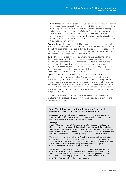- Virtualization Assessment Service The Business-Critical Application Virtualization Assessment Service for Oracle Database is intended for customers who need help developing a road map for their specific Oracle Database initiative, validating or defining related requirements, and defining an Oracle Database virtualization architecture framework. VMware consultants work with your team to evaluate your current environment—people, processes and technology—and help to determine your specific path to successfully designing, implementing and operating a virtual Oracle Database environment.
- Plan and design This step is intended for organizations that already have welldefined requirements and executive support to virtualize Oracle Database, but lack the staffing, experience or expertise to develop detailed production-ready design specifications. Our consultants help you employ best practices to ensure successful virtualization of your Oracle Database infrastructure.
- Build This service is ideal for organizations that have completed the plan and design process and would benefit from expert guidance on the implementation process. Using best practices, our virtualization experts install, configure and perform extensive system testing on the virtualized environment to support the rigorous requirements of your Oracle Database applications. They also provide production migration assistance and oversight, helping to expand your team's knowledge while keeping the project on track.
- **Optimize** This service is suite for customers who have virtualized Oracle Database—and want to maximize value. VMware consultants perform a full health assessment of your virtualized Oracle Database environment, analyzing and reviewing operational elements, developing a scorecard, and providing actionable recommendations to tune the virtual environment for efficiency and stability and to support future growth. VMware consultants can also provide advice and operational assistance to help increase your team's knowledge of current best practices and bridge gaps in skills.

Throughout the process, our reliable, repeatable methodology and seasoned consultants will help reduce risk and downtime, accelerate your deployment, and ensure first-time success.

### Real-World Successes: Indiana University Teams with VMware Experts to Virtualize Oracle Databases

Indiana University (IU), with eight campuses throughout Indiana, has more than 100,000 students, 18,500 employees, and 200 research centers and institutes. It is considered one of America's most wired universities.

#### **Challenge**

With 1,000 servers—nearly 90 percent of its total—already virtualized on vSphere, IU wanted to migrate its largest databases from an IBM AIX pSeries platform to a virtualized Linux environment on vSphere. The objective: Move from a more expensive, proprietary platform to a more efficient, industry-standard x86 platform, while increasing the flexibility and agility of IU's Oracle databases.

"We already had five-nines availability; flexibility was the prominent motivator, such as the ability to migrate databases between hosts, and to plan capacity at the datacenter level instead of on a 'per app' basis," says Rob Lowden, director of IT at IU. "We also wanted to more easily migrate systems and capitalize on the other advantages of virtualization, such as cost savings."

The big question was whether vSphere, running on Linux, could handle larger application workloads such as OnCourse, one of IU's largest and most critical Oracle databases. OnCourse communicates and tracks assignments and class schedules for the student population, supporting approximately 125,000 users—12,000 concurrently and with heavy activity.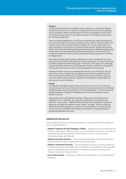#### Solution

To test and demonstrate the feasibility of this migration, IU contracted VMware Professional Services to do a proof of concept using OnCourse as the prototype Oracle workload. VMware partner House of Brick was engaged to bring Oracle and VMware best practices to the table and assist in the analysis and tuning of the OnCourse application.

Over a six-week engagement, an OnCourse workload was captured during two of IU's busiest weeks of the year—including the first week of school. Students and teachers were using OnCourse heavily to register for courses, order books and post descriptions, among other processing-intensive tasks. System performance metrics from the existing AIX production environment were collected simultaneously. Performance data was analyzed to determine bottlenecks in the existing AIX production environment and to build a prototype virtual production environment to mitigate them.

Next, data from the captured peak workload was used to emulate the OnCourse production environment in the prototype virtual environment, and test results were recorded to determine performance gain. The results: CPU usage in the prototype virtual production environment was 50 percent of eight virtual cores, compared to 100 percent of nine physical cores in the existing physical environment.

Allowing for faster CPUs and comparing this with the user CPU time on the AIX environment, the prototype virtual production environment outperformed the Power5 processors significantly. A workload in the AIX environment captured over a 50-minute time period was replayed in the prototype virtual production environment in just 43 minutes.

#### Results

Virtualization has taken capacity planning at IU to a new level. The IT team can now size up and size down virtual machines to ensure service levels to comfortably handle the peak loads encountered by IU's Oracle databases. IU has also achieved greater flexibility and agility for databases with fast provisioning and virtualmachine mobility.

Using outside technical assistance was key. "When you're fine-tuning a tier 1 application to run optimally, you need both application and infrastructure expertise," says Lowden. "VMware Professional Services provided their combined expertise and helped us define success criteria." He adds, "Where initially we believed that these databases would be too demanding for a virtual machine, we now have the confidence that vSphere can handle our largest transactionprocessing databases with ease."

# Additional Resources

These additional services can help organizations cultivate and foster the growth of their virtualized platform:

- VMware Technical Account Managers (TAMs) Available through the Professional Services organization, TAMs are cross-functional VMware experts who can help you accelerate the business value from the transition to IT-as-a-service (ITaaS) computing models, with less risk.
- **VMware Education Services** This organization provides virtualization technical training and certification programs for your internal teams.
- VMware Authorized Training This training gives you the skills and confidence to handle enterprise-level deployments of vSphere. It is available at more than 600 locations worldwide, either directly from VMware or at one of more than 200 VMware Authorized Training Centers.
- Free online training VMware also offers free online classes in virtualizing Oracle Database.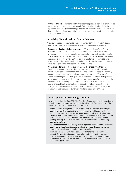• VMware Partners - The network of VMware service partners is an excellent resource for helping you move forward with Oracle Database virtualization. We've brought together a broad range of technology and service partners—more than 25,000 of them—and your VMware account representative can recommend specific ones to serve your needs best.

# Maximizing Your Virtualized Oracle Databases

Once you've virtualized your Oracle databases, how can you fully optimize and maximize the investment? There are many options; here are two examples:

- Business continuity and disaster recovery VMware vCenter™ Site Recovery Manager™ (SRM) 4.0 provides business continuity and disaster-recovery protection for virtual environments—an especially important consideration for Oracle Database. Disaster-recovery testing using physical servers can be difficult because it is usually very disruptive, expensive in terms of resources, and extremely complex. By leveraging virtualization, SRM addresses this problem, while making planning and testing simpler to execute.
- Proactive performance management across the entire infrastructure Traditional tools and processes designed for fragmented, static physical infrastructures don't provide the automation and control you need to effectively manage highly virtualized and private cloud environments. VMware vCenter Operations Management Suite™ provides automated operations management using patented analytics and an integrated approach to performance, capacity and configuration management. Tightly integrated with vSphere, vCenter Operations enables IT organizations to get better visibility and actionable intelligence to proactively ensure service levels, optimum resource usage, and configuration compliance in dynamic virtual and cloud environments.

# More Uptime and Efficiency; Lower Costs

In a study published in June 2012, The Aberdeen Group<sup>2</sup> examined the experiences of a diverse group of companies that had virtualized their Oracle databases. The study identified the following benefits of virtualization:

- Greater application uptime Easier disaster recovery and reduced outage/ downtime mean that applications are running and available more of the time to support business processes. Virtualization features such as application mobility (moving running applications from one server to another), site recovery (moving suites of applications over the WAN) and automatic resource deployments (adding memory or CPUs to stressed applications) contribute to improving application uptime.
- • Operational efficiencies Freeing IT from repetitive tasks, or reducing the time dedicated to those tasks, improves productivity. Freed IT resources can be assigned to more important projects, such as deployments.
- Reduced expenses Eliminated costs contribute to the positive ROI of a project. These reduced expenses can take two forms: capital expenses (CapEx) and operational expenses (OpEx). Also, faster application upgrades/ installations and reduced power and cooling expenses help lower the cost of supporting applications.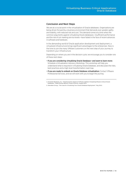# Conclusion and Next Steps

We are at a crucial point in the virtualization of Oracle databases. Organizations are being driven forward by a business environment that demands ever-greater agility and stability, with reduced risk and cost. This demand comes at a time when the common arguments against virtualizing Oracle databases—insufficient performance and the risk of not meeting service levels—have faded in the face of recent advances in software and hardware.

In the demanding world of Oracle application development and deployment, a virtualized infrastructure brings significant advantages to the enterprises. Now is the time to join the many VMware customers on the next step of your journey to transform your infrastructure.

Depending on where you are in the decision cycle, we encourage you to consider one of these next steps:

- • If you are considering virtualizing Oracle Database—and want to learn more: Schedule a Virtualization Advisory Workshop. This workshop will help you understand what is required in virtualizing Oracle Database, and discusses the risks, best practices and a high-level transformation road map.
- If you are ready to embark on Oracle Database virtualization: Contact VMware Professional Services, and we will work with you to begin the journey.
- 1. Forrester Research, Inc. "Total Economic Impact of VMware vSphere Virtualizing Mission-Critical Oracle Databases." Sadaf Roshan Bellord, Project Director, August 2011.
- 2. Aberdeen Group. "The Case for Virtualizing Your Oracle Database Deployment." May 2012.